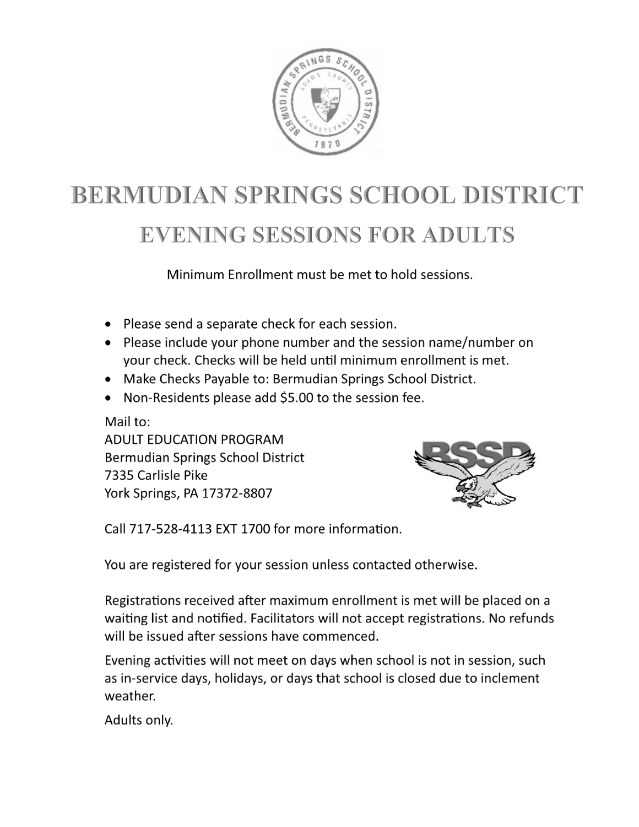

# **BERMUDIAN SPRINGS SCHOOL DISTRICT EVENING SESSIONS FOR ADULTS**

Minimum Enrollment must be met to hold sessions.

- Please send a separate check for each session.
- Please include your phone number and the session name/number on your check. Checks will be held until minimum enrollment is met.
- Make Checks Payable to: Bermudian Springs School District.
- Non-Residents please add \$5.00 to the session fee.

Mail to: **ADULT EDUCATION PROGRAM** Bermudian Springs School District 7335 Carlisle Pike York Springs, PA 17372-8807



Call 717-528-4113 EXT 1700 for more information.

You are registered for your session unless contacted otherwise.

Registrations received after maximum enrollment is met will be placed on a waiting list and notified. Facilitators will not accept registrations. No refunds will be issued after sessions have commenced.

Evening activities will not meet on days when school is not in session, such as in-service days, holidays, or days that school is closed due to inclement weather.

Adults only.